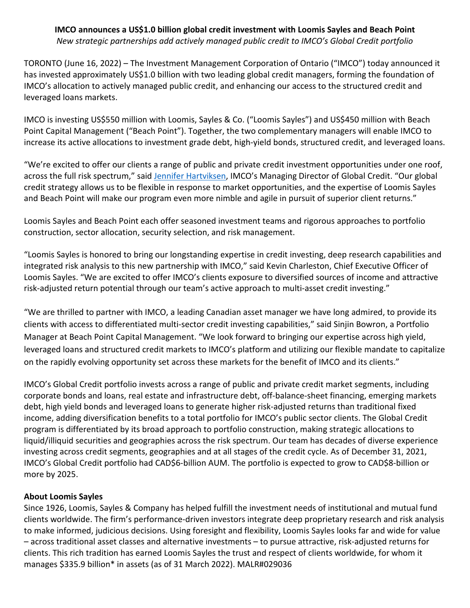### **IMCO announces a US\$1.0 billion global credit investment with Loomis Sayles and Beach Point** *New strategic partnerships add actively managed public credit to IMCO's Global Credit portfolio*

TORONTO (June 16, 2022) – The Investment Management Corporation of Ontario ("IMCO") today announced it has invested approximately US\$1.0 billion with two leading global credit managers, forming the foundation of IMCO's allocation to actively managed public credit, and enhancing our access to the structured credit and leveraged loans markets.

IMCO is investing US\$550 million with Loomis, Sayles & Co. ("Loomis Sayles") and US\$450 million with Beach Point Capital Management ("Beach Point"). Together, the two complementary managers will enable IMCO to increase its active allocations to investment grade debt, high-yield bonds, structured credit, and leveraged loans.

"We're excited to offer our clients a range of public and private credit investment opportunities under one roof, across the full risk spectrum," sai[d Jennifer Hartviksen,](https://www.imcoinvest.com/member/jennifer-hartviksen/) IMCO's Managing Director of Global Credit. "Our global credit strategy allows us to be flexible in response to market opportunities, and the expertise of Loomis Sayles and Beach Point will make our program even more nimble and agile in pursuit of superior client returns."

Loomis Sayles and Beach Point each offer seasoned investment teams and rigorous approaches to portfolio construction, sector allocation, security selection, and risk management.

"Loomis Sayles is honored to bring our longstanding expertise in credit investing, deep research capabilities and integrated risk analysis to this new partnership with IMCO," said Kevin Charleston, Chief Executive Officer of Loomis Sayles. "We are excited to offer IMCO's clients exposure to diversified sources of income and attractive risk-adjusted return potential through our team's active approach to multi-asset credit investing."

"We are thrilled to partner with IMCO, a leading Canadian asset manager we have long admired, to provide its clients with access to differentiated multi-sector credit investing capabilities," said Sinjin Bowron, a Portfolio Manager at Beach Point Capital Management. "We look forward to bringing our expertise across high yield, leveraged loans and structured credit markets to IMCO's platform and utilizing our flexible mandate to capitalize on the rapidly evolving opportunity set across these markets for the benefit of IMCO and its clients."

IMCO's Global Credit portfolio invests across a range of public and private credit market segments, including corporate bonds and loans, real estate and infrastructure debt, off-balance-sheet financing, emerging markets debt, high yield bonds and leveraged loans to generate higher risk-adjusted returns than traditional fixed income, adding diversification benefits to a total portfolio for IMCO's public sector clients. The Global Credit program is differentiated by its broad approach to portfolio construction, making strategic allocations to liquid/illiquid securities and geographies across the risk spectrum. Our team has decades of diverse experience investing across credit segments, geographies and at all stages of the credit cycle. As of December 31, 2021, IMCO's Global Credit portfolio had CAD\$6-billion AUM. The portfolio is expected to grow to CAD\$8-billion or more by 2025.

# **About Loomis Sayles**

Since 1926, Loomis, Sayles & Company has helped fulfill the investment needs of institutional and mutual fund clients worldwide. The firm's performance-driven investors integrate deep proprietary research and risk analysis to make informed, judicious decisions. Using foresight and flexibility, Loomis Sayles looks far and wide for value – across traditional asset classes and alternative investments – to pursue attractive, risk-adjusted returns for clients. This rich tradition has earned Loomis Sayles the trust and respect of clients worldwide, for whom it manages \$335.9 billion\* in assets (as of 31 March 2022). MALR#029036